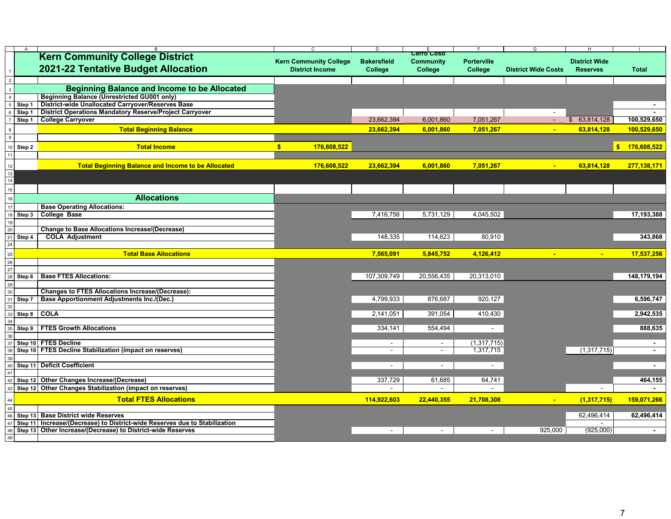|                 |             |                                                                                            | $\mathsf{C}$                                            | D                  | F.                |                    | G                          | H                         |                              |
|-----------------|-------------|--------------------------------------------------------------------------------------------|---------------------------------------------------------|--------------------|-------------------|--------------------|----------------------------|---------------------------|------------------------------|
|                 |             | <b>Kern Community College District</b>                                                     |                                                         |                    | <b>Cerro Coso</b> | <b>Porterville</b> |                            | <b>District Wide</b>      |                              |
|                 |             | <b>2021-22 Tentative Budget Allocation</b>                                                 | <b>Kern Community College</b><br><b>District Income</b> | <b>Bakersfield</b> | <b>Community</b>  |                    | <b>District Wide Costs</b> | <b>Reserves</b>           | <b>Total</b>                 |
|                 |             |                                                                                            |                                                         | <b>College</b>     | <b>College</b>    | <b>College</b>     |                            |                           |                              |
|                 |             |                                                                                            |                                                         |                    |                   |                    |                            |                           |                              |
|                 |             | <b>Beginning Balance and Income to be Allocated</b>                                        |                                                         |                    |                   |                    |                            |                           |                              |
|                 |             | <b>Beginning Balance (Unrestricted GU001 only)</b>                                         |                                                         |                    |                   |                    |                            |                           |                              |
|                 | Step 1      | <b>District-wide Unallocated Carryover/Reserves Base</b>                                   |                                                         |                    |                   |                    |                            |                           | $\sim$                       |
|                 | Step 1      | <b>District Operations Mandatory Reserve/Project Carryover</b>                             |                                                         |                    |                   |                    | $\blacksquare$             |                           |                              |
|                 | Step 1      | <b>College Carryover</b>                                                                   |                                                         | 23,662,394         | 6,001,860         | 7,051,267          |                            | 63,814,128                | 100,529,650                  |
|                 |             | <b>Total Beginning Balance</b>                                                             |                                                         | 23,662,394         | 6,001,860         | 7,051,267          | $\blacksquare$             | 63,814,128                | 100,529,650                  |
|                 |             |                                                                                            |                                                         |                    |                   |                    |                            |                           |                              |
|                 | Step 2      | <b>Total Income</b>                                                                        | 176,608,522                                             |                    |                   |                    |                            |                           | 176,608,522<br>$\mathbf{\$}$ |
|                 |             |                                                                                            |                                                         |                    |                   |                    |                            |                           |                              |
|                 |             |                                                                                            |                                                         |                    |                   |                    |                            |                           |                              |
|                 |             | <b>Total Beginning Balance and Income to be Allocated</b>                                  | 176,608,522                                             | 23,662,394         | 6,001,860         | 7,051,267          | $\blacksquare$             | 63,814,128                | 277,138,171                  |
| 13              |             |                                                                                            |                                                         |                    |                   |                    |                            |                           |                              |
| 14              |             |                                                                                            |                                                         |                    |                   |                    |                            |                           |                              |
|                 |             |                                                                                            |                                                         |                    |                   |                    |                            |                           |                              |
|                 |             | <b>Allocations</b>                                                                         |                                                         |                    |                   |                    |                            |                           |                              |
|                 |             | <b>Base Operating Allocations:</b>                                                         |                                                         |                    |                   |                    |                            |                           |                              |
|                 | Step 3      | <b>College Base</b>                                                                        |                                                         | 7,416,756          | 5,731,129         | 4,045,502          |                            |                           | 17,193,388                   |
| 19              |             |                                                                                            |                                                         |                    |                   |                    |                            |                           |                              |
|                 |             | <b>Change to Base Allocations Increase/(Decrease)</b>                                      |                                                         |                    |                   |                    |                            |                           |                              |
|                 | Step 4      | <b>COLA Adjustment</b>                                                                     |                                                         | 148,335            | 114,623           | 80,910             |                            |                           | 343,868                      |
|                 |             |                                                                                            |                                                         |                    |                   |                    |                            |                           |                              |
|                 |             | <b>Total Base Allocations</b>                                                              |                                                         | 7,565,091          | 5,845,752         | 4,126,412          |                            | $\mathbf{m}_{\mathrm{c}}$ | 17,537,256                   |
| 26              |             |                                                                                            |                                                         |                    |                   |                    |                            |                           |                              |
| 27              |             |                                                                                            |                                                         |                    |                   |                    |                            |                           |                              |
|                 | Step 6      | <b>Base FTES Allocations:</b>                                                              |                                                         | 107,309,749        | 20,556,435        | 20,313,010         |                            |                           | 148,179,194                  |
| 29              |             |                                                                                            |                                                         |                    |                   |                    |                            |                           |                              |
| 30 <sup>°</sup> |             | <b>Changes to FTES Allocations Increase/(Decrease):</b>                                    |                                                         |                    |                   |                    |                            |                           |                              |
|                 | Step 7      | <b>Base Apportionment Adjustments Inc./(Dec.)</b>                                          |                                                         | 4,799,933          | 876,687           | 920,127            |                            |                           | 6,596,747                    |
| 32              | $33$ Step 8 | <b>COLA</b>                                                                                |                                                         | 2,141,051          | 391,054           | 410,430            |                            |                           | 2,942,535                    |
|                 |             |                                                                                            |                                                         |                    |                   |                    |                            |                           |                              |
|                 | Step 9      | <b>FTES Growth Allocations</b>                                                             |                                                         | 334,141            | 554,494           | $\blacksquare$     |                            |                           | 888,635                      |
| 36              |             |                                                                                            |                                                         |                    |                   |                    |                            |                           |                              |
|                 |             | 37 Step 10 FTES Decline                                                                    |                                                         |                    | $\blacksquare$    | (1,317,715)        |                            |                           |                              |
|                 |             | 38 Step 10 FTES Decline Stabilization (impact on reserves)                                 |                                                         |                    | $\blacksquare$    | 1,317,715          |                            | (1,317,715)               |                              |
| 39              |             |                                                                                            |                                                         |                    |                   |                    |                            |                           |                              |
|                 |             | 40 Step 11 Deficit Coefficient                                                             |                                                         |                    | $\blacksquare$    |                    |                            |                           |                              |
|                 |             |                                                                                            |                                                         |                    |                   |                    |                            |                           |                              |
|                 |             | Step 12 Other Changes Increase/(Decrease)                                                  |                                                         | 337,729            | 61,685            | 64,741             |                            |                           | 464,155                      |
|                 |             | $_{43} $ Step 12 $ \,$ Other Changes Stabilization (impact on reserves) $ \,$              |                                                         |                    |                   |                    |                            |                           |                              |
|                 |             | <b>Total FTES Allocations</b>                                                              |                                                         | 114,922,603        |                   |                    |                            |                           |                              |
|                 |             |                                                                                            |                                                         |                    | 22,440,355        | 21,708,308         | $\sim$                     | (1,317,715)               | 159,071,266                  |
| 45              |             | 46 Step 13 Base District wide Reserves                                                     |                                                         |                    |                   |                    |                            | 62,496,414                | 62,496,414                   |
|                 |             | $_{\rm ^{17}}$ Step 11  Increase/(Decrease) to District-wide Reserves due to Stabilization |                                                         |                    |                   |                    |                            |                           |                              |
|                 |             | 48 Step 13 Other Increase/(Decrease) to District-wide Reserves                             |                                                         |                    | $\sim$            | $\blacksquare$     | 925,000                    | (925,000)                 |                              |
| 49              |             |                                                                                            |                                                         |                    |                   |                    |                            |                           |                              |
|                 |             |                                                                                            |                                                         |                    |                   |                    |                            |                           |                              |